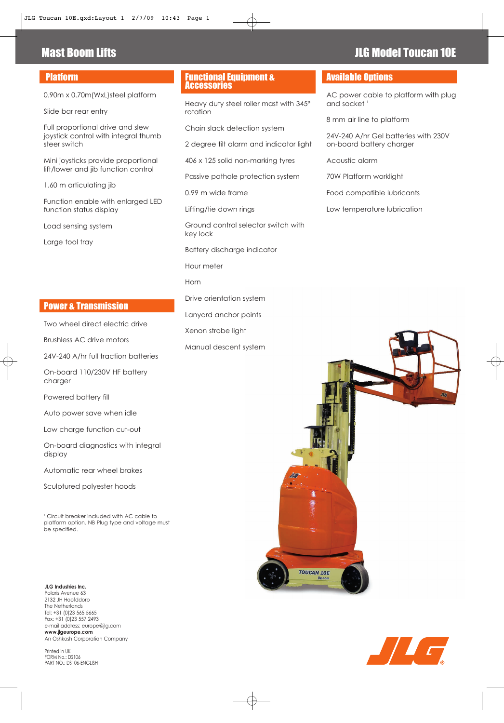# Platform

0.90m x 0.70m(WxL)steel platform

Slide bar rear entry

Full proportional drive and slew joystick control with integral thumb steer switch

Mini joysticks provide proportional lift/lower and jib function control

1.60 m articulating jib

Function enable with enlarged LED function status display

Load sensing system

Large tool tray

# Power & Transmission

Two wheel direct electric drive

Brushless AC drive motors

24V-240 A/hr full traction batteries

On-board 110/230V HF battery charaer

Powered battery fill

Auto power save when idle

Low charge function cut-out

On-board diagnostics with integral display

Automatic rear wheel brakes

Sculptured polyester hoods

<sup>1</sup> Circuit breaker included with AC cable to platform option. NB Plug type and voltage must be specified.

### **JLG Industries Inc.**

Polaris Avenue 63 2132 JH Hoofddorp The Netherlands Tel: +31 (0)23 565 5665 Fax: +31 (0)23 557 2493 e-mail address: europe@jlg.com **www.jlgeurope.com** An Oshkosh Corporation Company

Printed in UK FORM No.: DS106 PART NO.: DS106-ENGLISH

## Functional Equipment & Accessories

Heavy duty steel roller mast with 345º rotation

Chain slack detection system

2 degree tilt alarm and indicator light

406 x 125 solid non-marking tyres

Passive pothole protection system

0.99 m wide frame

Lifting/tie down rings

Ground control selector switch with key lock

Battery discharge indicator

Hour meter

Horn

Drive orientation system

Lanyard anchor points

Xenon strobe light

Manual descent system

# Available Options

AC power cable to platform with plug and socket<sup>1</sup>

8 mm air line to platform

24V-240 A/hr Gel batteries with 230V on-board battery charger

Acoustic alarm

70W Platform worklight

Food compatible lubricants

Low temperature lubrication





# **Mast Boom Lifts JLG Model Toucan 10E**